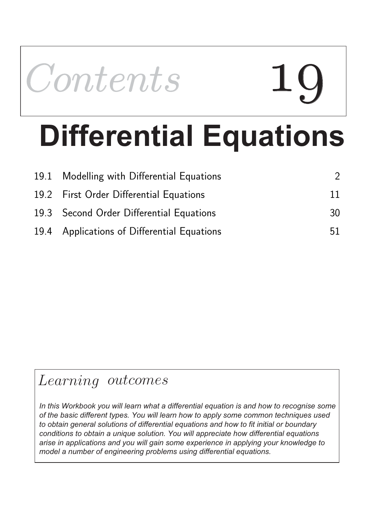

# **Differential Equations**

| 19.1 Modelling with Differential Equations  |    |
|---------------------------------------------|----|
| 19.2 First Order Differential Equations     | 11 |
| 19.3 Second Order Differential Equations    | 30 |
| 19.4 Applications of Differential Equations | 51 |

## Learning outcomes

*In this Workbook you will learn what a differential equation is and how to recognise some of the basic different types. You will learn how to apply some common techniques used to obtain general solutions of differential equations and how to fit initial or boundary conditions to obtain a unique solution. You will appreciate how differential equations arise in applications and you will gain some experience in applying your knowledge to model a number of engineering problems using differential equations.*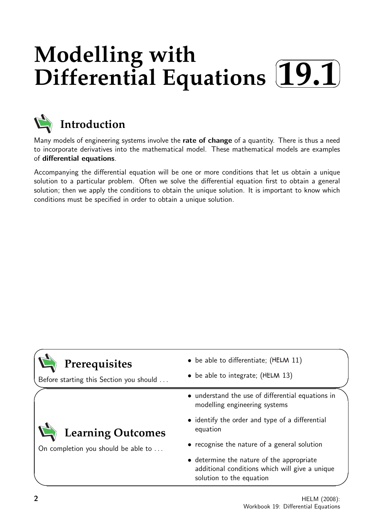## **Modelling with Differential Equations**  $\sqrt{2}$ ✒ **19.1**✑



## **Introduction**

Many models of engineering systems involve the rate of change of a quantity. There is thus a need to incorporate derivatives into the mathematical model. These mathematical models are examples of differential equations.

Accompanying the differential equation will be one or more conditions that let us obtain a unique solution to a particular problem. Often we solve the differential equation first to obtain a general solution; then we apply the conditions to obtain the unique solution. It is important to know which conditions must be specified in order to obtain a unique solution.

| Prerequisites |
|---------------|
|---------------|

Before starting this Section you should . . .

On completion you should be able to ...

**Learning Outcomes**

- $\bullet$  be able to differentiate; (HELM 11)
- $\bullet$  be able to integrate; (HELM 13)
- understand the use of differential equations in modelling engineering systems
- identify the order and type of a differential equation
- recognise the nature of a general solution
- determine the nature of the appropriate additional conditions which will give a unique solution to the equation

 $\overline{\phantom{0}}$ 

 $\overline{\phantom{0}}$ 

 $\searrow$ 

 $\ge$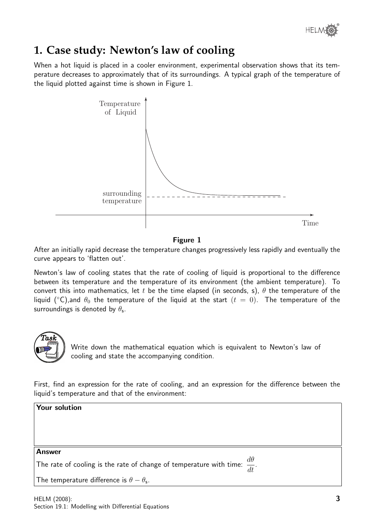

## **1. Case study: Newton's law of cooling**

When a hot liquid is placed in a cooler environment, experimental observation shows that its temperature decreases to approximately that of its surroundings. A typical graph of the temperature of the liquid plotted against time is shown in Figure 1.



#### Figure 1

After an initially rapid decrease the temperature changes progressively less rapidly and eventually the curve appears to 'flatten out'.

Newton's law of cooling states that the rate of cooling of liquid is proportional to the difference between its temperature and the temperature of its environment (the ambient temperature). To convert this into mathematics, let t be the time elapsed (in seconds, s),  $\theta$  the temperature of the liquid ( $\degree$ C), and  $\theta_0$  the temperature of the liquid at the start ( $t = 0$ ). The temperature of the surroundings is denoted by  $\theta_{\sf s}$ .



Write down the mathematical equation which is equivalent to Newton's law of cooling and state the accompanying condition.

First, find an expression for the rate of cooling, and an expression for the difference between the liquid's temperature and that of the environment:

| Your solution                                                                              |  |  |  |  |
|--------------------------------------------------------------------------------------------|--|--|--|--|
|                                                                                            |  |  |  |  |
|                                                                                            |  |  |  |  |
| <b>Answer</b>                                                                              |  |  |  |  |
| The rate of cooling is the rate of change of temperature with time: $\frac{d\theta}{dt}$ . |  |  |  |  |
| The temperature difference is $\theta - \theta_{\rm s}$ .                                  |  |  |  |  |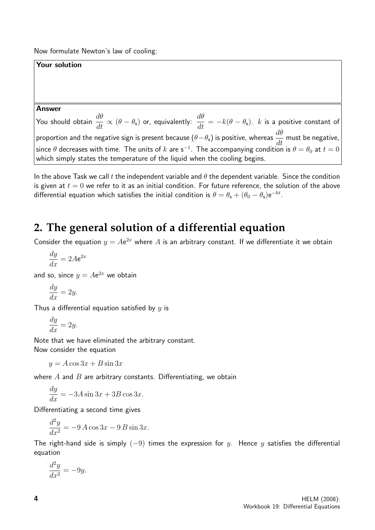Now formulate Newton's law of cooling:

#### Your solution

#### Answer

You should obtain  $\displaystyle{\frac{d\theta}{dt}\propto(\theta-\theta_{\mathsf{s}})}$  or, equivalently:  $\displaystyle{\frac{d\theta}{dt}=-k(\theta-\theta_{\mathsf{s}})}.$   $k$  is a positive constant of proportion and the negative sign is present because  $(\theta - \theta_s)$  is positive, whereas  $\frac{d\theta}{dt}$  must be negative, since  $\theta$  decreases with time. The units of  $k$  are s $^{-1}$ . The accompanying condition is  $\theta=\theta_0$  at  $t=0$ which simply states the temperature of the liquid when the cooling begins.

In the above Task we call t the independent variable and  $\theta$  the dependent variable. Since the condition is given at  $t = 0$  we refer to it as an initial condition. For future reference, the solution of the above differential equation which satisfies the initial condition is  $\theta=\theta_\mathsf{s}+(\theta_0-\theta_\mathsf{s})\mathsf{e}^{-kt}.$ 

## **2. The general solution of a differential equation**

Consider the equation  $y = Ae^{2x}$  where A is an arbitrary constant. If we differentiate it we obtain

$$
\frac{dy}{dx} = 2Ae^{2x}
$$

and so, since  $y = Ae^{2x}$  we obtain

$$
\frac{dy}{dx} = 2y.
$$

Thus a differential equation satisfied by  $y$  is

$$
\frac{dy}{dx} = 2y.
$$

Note that we have eliminated the arbitrary constant. Now consider the equation

 $y = A \cos 3x + B \sin 3x$ 

where  $A$  and  $B$  are arbitrary constants. Differentiating, we obtain

$$
\frac{dy}{dx} = -3A\sin 3x + 3B\cos 3x.
$$

Differentiating a second time gives

$$
\frac{d^2y}{dx^2} = -9A\cos 3x - 9B\sin 3x.
$$

The right-hand side is simply  $(-9)$  times the expression for y. Hence y satisfies the differential equation

$$
\frac{d^2y}{dx^2} = -9y.
$$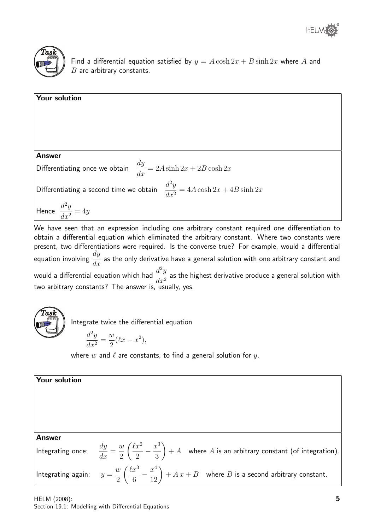



Find a differential equation satisfied by  $y = A \cosh 2x + B \sinh 2x$  where A and  $B$  are arbitrary constants.

| Your solution                                                                           |  |
|-----------------------------------------------------------------------------------------|--|
|                                                                                         |  |
| <b>Answer</b>                                                                           |  |
| Differentiating once we obtain $\frac{dy}{dx} = 2A \sinh 2x + 2B \cosh 2x$              |  |
| Differentiating a second time we obtain $\frac{d^2y}{dx^2} = 4A \cosh 2x + 4B \sinh 2x$ |  |
| Hence $\frac{d^2y}{dx^2} = 4y$                                                          |  |

We have seen that an expression including one arbitrary constant required one differentiation to obtain a differential equation which eliminated the arbitrary constant. Where two constants were present, two differentiations were required. Is the converse true? For example, would a differential equation involving  $\frac{dy}{dx}$  $\frac{dy}{dx}$  as the only derivative have a general solution with one arbitrary constant and would a differential equation which had  $\frac{d^2y}{dx^2}$  $\frac{d^2y}{dx^2}$  as the highest derivative produce a general solution with two arbitrary constants? The answer is,  $\tilde{u}$  usually, yes.



Integrate twice the differential equation

$$
\frac{d^2y}{dx^2} = \frac{w}{2}(\ell x - x^2),
$$

where w and  $\ell$  are constants, to find a general solution for y.

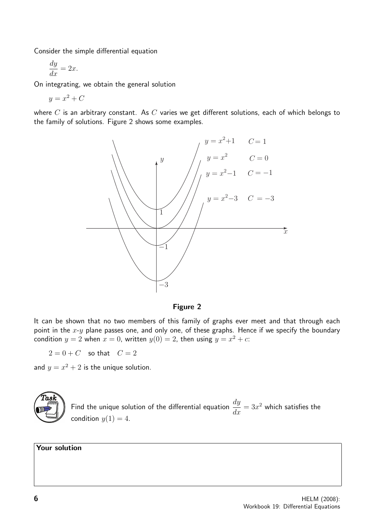Consider the simple differential equation

$$
\frac{dy}{dx} = 2x.
$$

On integrating, we obtain the general solution

 $y = x^2 + C$ 

where  $C$  is an arbitrary constant. As  $C$  varies we get different solutions, each of which belongs to the family of solutions. Figure 2 shows some examples.



Figure 2

It can be shown that no two members of this family of graphs ever meet and that through each point in the  $x-y$  plane passes one, and only one, of these graphs. Hence if we specify the boundary condition  $y = 2$  when  $x = 0$ , written  $y(0) = 2$ , then using  $y = x^2 + c$ .

 $2=0+C$  so that  $C=2$ 

and  $y = x^2 + 2$  is the unique solution.



Find the unique solution of the differential equation  $\frac{dy}{dx}$  $\frac{dy}{dx} = 3x^2$  which satisfies the condition  $y(1) = 4$ .

Your solution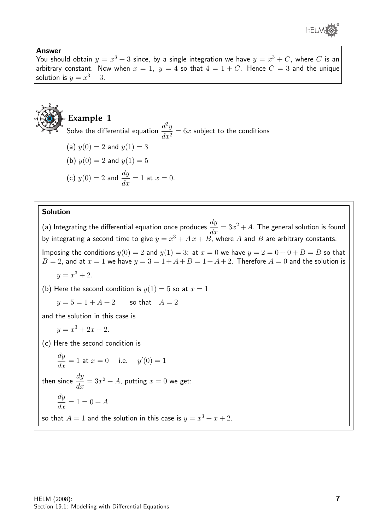

#### Answer

You should obtain  $y=x^3+3$  since, by a single integration we have  $y=x^3+C$ , where  $C$  is an arbitrary constant. Now when  $x = 1$ ,  $y = 4$  so that  $4 = 1 + C$ . Hence  $C = 3$  and the unique solution is  $y = x^3 + 3$ .



Solve the differential equation  $\frac{d^2y}{dx^2}$  $\frac{d^2y}{dx^2} = 6x$  subject to the conditions

(a) 
$$
y(0) = 2
$$
 and  $y(1) = 3$ 

(b) 
$$
y(0) = 2
$$
 and  $y(1) = 5$ 

(c) 
$$
y(0) = 2
$$
 and  $\frac{dy}{dx} = 1$  at  $x = 0$ .

#### Solution

(a) Integrating the differential equation once produces  $\frac{dy}{dt}$  $\frac{dy}{dx} = 3x^2 + A$ . The general solution is found by integrating a second time to give  $y = x^3 + A x + B$ , where A and B are arbitrary constants.

Imposing the conditions  $y(0) = 2$  and  $y(1) = 3$ : at  $x = 0$  we have  $y = 2 = 0 + 0 + B = B$  so that  $B = 2$ , and at  $x = 1$  we have  $y = 3 = 1 + A + B = 1 + A + 2$ . Therefore  $A = 0$  and the solution is

$$
y = x^3 + 2.
$$

(b) Here the second condition is  $y(1) = 5$  so at  $x = 1$ 

$$
y = 5 = 1 + A + 2
$$
 so that  $A = 2$ 

and the solution in this case is

$$
y = x^3 + 2x + 2.
$$

(c) Here the second condition is

$$
\frac{dy}{dx} = 1
$$
 at  $x = 0$  i.e.  $y'(0) = 1$ 

then since  $\frac{dy}{dt}$  $\frac{dy}{dx} = 3x^2 + A$ , putting  $x = 0$  we get:

$$
\frac{dy}{dx} = 1 = 0 + A
$$

so that  $A=1$  and the solution in this case is  $y=x^3+x+2$ .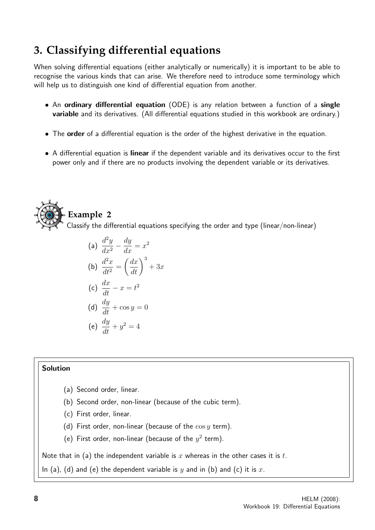## **3. Classifying differential equations**

When solving differential equations (either analytically or numerically) it is important to be able to recognise the various kinds that can arise. We therefore need to introduce some terminology which will help us to distinguish one kind of differential equation from another.

- An ordinary differential equation (ODE) is any relation between a function of a single variable and its derivatives. (All differential equations studied in this workbook are ordinary.)
- The order of a differential equation is the order of the highest derivative in the equation.
- A differential equation is linear if the dependent variable and its derivatives occur to the first power only and if there are no products involving the dependent variable or its derivatives.



(a) 
$$
\frac{d^2y}{dx^2} - \frac{dy}{dx} = x^2
$$
  
\n(b) 
$$
\frac{d^2x}{dt^2} = \left(\frac{dx}{dt}\right)^3 + 3x
$$
  
\n(c) 
$$
\frac{dx}{dt} - x = t^2
$$

(c) 
$$
\frac{dx}{dt} - x = t^2
$$

(d) 
$$
\frac{dy}{dt} + \cos y = 0
$$
  
(e) 
$$
\frac{dy}{dt} + y^2 = 4
$$

(e) 
$$
\frac{dy}{dt} + y^2 =
$$

### Solution

- (a) Second order, linear.
- (b) Second order, non-linear (because of the cubic term).
- (c) First order, linear.
- (d) First order, non-linear (because of the  $\cos y$  term).
- (e) First order, non-linear (because of the  $y^2$  term).

Note that in (a) the independent variable is  $x$  whereas in the other cases it is  $t$ .

In (a), (d) and (e) the dependent variable is y and in (b) and (c) it is x.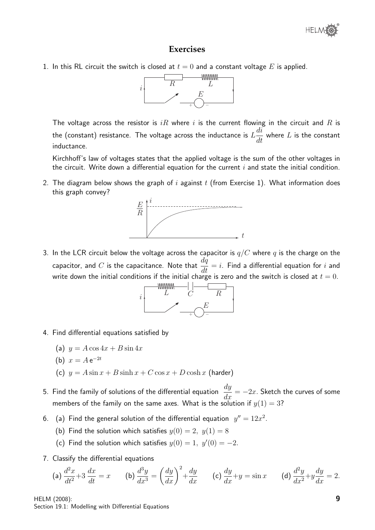#### **Exercises**

1. In this RL circuit the switch is closed at  $t = 0$  and a constant voltage E is applied.



The voltage across the resistor is  $iR$  where i is the current flowing in the circuit and R is the (constant) resistance. The voltage across the inductance is  $L$ di  $\frac{du}{dt}$  where  $L$  is the constant inductance.

Kirchhoff's law of voltages states that the applied voltage is the sum of the other voltages in the circuit. Write down a differential equation for the current  $i$  and state the initial condition.

2. The diagram below shows the graph of  $i$  against  $t$  (from Exercise 1). What information does this graph convey?



3. In the LCR circuit below the voltage across the capacitor is  $q/C$  where  $q$  is the charge on the capacitor, and  $C$  is the capacitance. Note that  $\frac{dq}{dt}$  $\frac{du}{dt} = i$ . Find a differential equation for i and write down the initial conditions if the initial charge is zero and the switch is closed at  $t=0.$ 



- 4. Find differential equations satisfied by
	- (a)  $y = A \cos 4x + B \sin 4x$
	- (b)  $x = A e^{-2t}$
	- (c)  $y = A \sin x + B \sinh x + C \cos x + D \cosh x$  (harder)
- 5. Find the family of solutions of the differential equation  $\frac{dy}{dx} = -2x$ . Sketch the curves of some members of the family on the same axes. What is the solution if  $y(1) = 3$ ?
- 6. (a) Find the general solution of the differential equation  $y'' = 12x^2$ .
	- (b) Find the solution which satisfies  $y(0) = 2$ ,  $y(1) = 8$
	- (c) Find the solution which satisfies  $y(0) = 1$ ,  $y'(0) = -2$ .
- 7. Classify the differential equations

(a) 
$$
\frac{d^2x}{dt^2} + 3 \frac{dx}{dt} = x
$$
 (b)  $\frac{d^3y}{dx^3} = \left(\frac{dy}{dx}\right)^2 + \frac{dy}{dx}$  (c)  $\frac{dy}{dx} + y = \sin x$  (d)  $\frac{d^2y}{dx^2} + y\frac{dy}{dx} = 2$ .

HELM (2008): Section 19.1: Modelling with Differential Equations